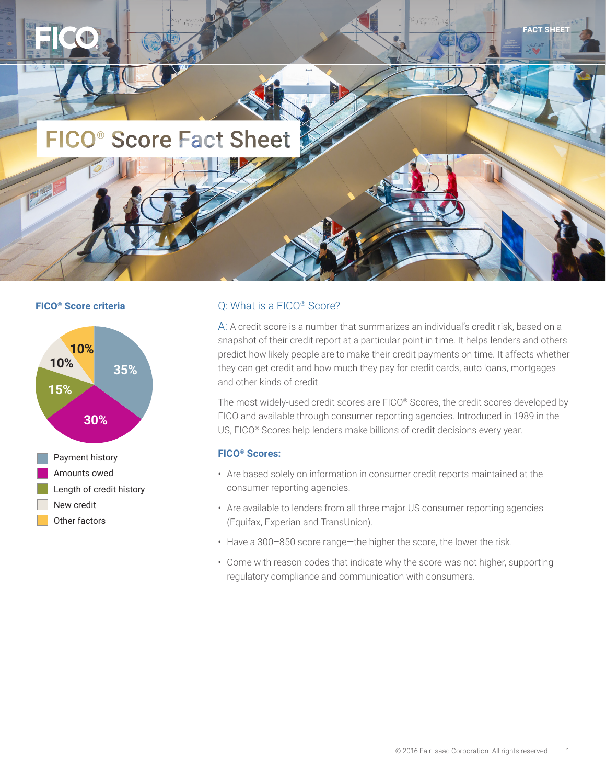



#### **FICO<sup>®</sup> Score criteria C:** What is a FICO<sup>®</sup> Score?

A: A credit score is a number that summarizes an individual's credit risk, based on a snapshot of their credit report at a particular point in time. It helps lenders and others predict how likely people are to make their credit payments on time. It affects whether they can get credit and how much they pay for credit cards, auto loans, mortgages and other kinds of credit.

The most widely-used credit scores are FICO® Scores, the credit scores developed by FICO and available through consumer reporting agencies. Introduced in 1989 in the US, FICO® Scores help lenders make billions of credit decisions every year.

#### **FICO® Scores:**

- Are based solely on information in consumer credit reports maintained at the consumer reporting agencies.
- Are available to lenders from all three major US consumer reporting agencies (Equifax, Experian and TransUnion).
- Have a 300–850 score range—the higher the score, the lower the risk.
- Come with reason codes that indicate why the score was not higher, supporting regulatory compliance and communication with consumers.